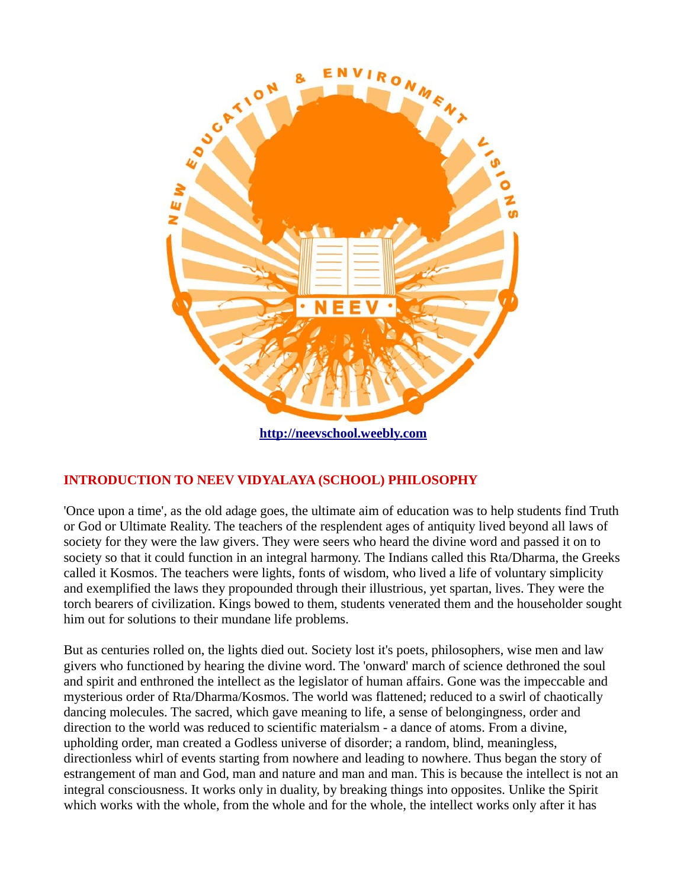

**[http://neevschool.weebly.com](http://neevschool.weebly.com/)**

## **INTRODUCTION TO NEEV VIDYALAYA (SCHOOL) PHILOSOPHY**

'Once upon a time', as the old adage goes, the ultimate aim of education was to help students find Truth or God or Ultimate Reality. The teachers of the resplendent ages of antiquity lived beyond all laws of society for they were the law givers. They were seers who heard the divine word and passed it on to society so that it could function in an integral harmony. The Indians called this Rta/Dharma, the Greeks called it Kosmos. The teachers were lights, fonts of wisdom, who lived a life of voluntary simplicity and exemplified the laws they propounded through their illustrious, yet spartan, lives. They were the torch bearers of civilization. Kings bowed to them, students venerated them and the householder sought him out for solutions to their mundane life problems.

But as centuries rolled on, the lights died out. Society lost it's poets, philosophers, wise men and law givers who functioned by hearing the divine word. The 'onward' march of science dethroned the soul and spirit and enthroned the intellect as the legislator of human affairs. Gone was the impeccable and mysterious order of Rta/Dharma/Kosmos. The world was flattened; reduced to a swirl of chaotically dancing molecules. The sacred, which gave meaning to life, a sense of belongingness, order and direction to the world was reduced to scientific materialsm - a dance of atoms. From a divine, upholding order, man created a Godless universe of disorder; a random, blind, meaningless, directionless whirl of events starting from nowhere and leading to nowhere. Thus began the story of estrangement of man and God, man and nature and man and man. This is because the intellect is not an integral consciousness. It works only in duality, by breaking things into opposites. Unlike the Spirit which works with the whole, from the whole and for the whole, the intellect works only after it has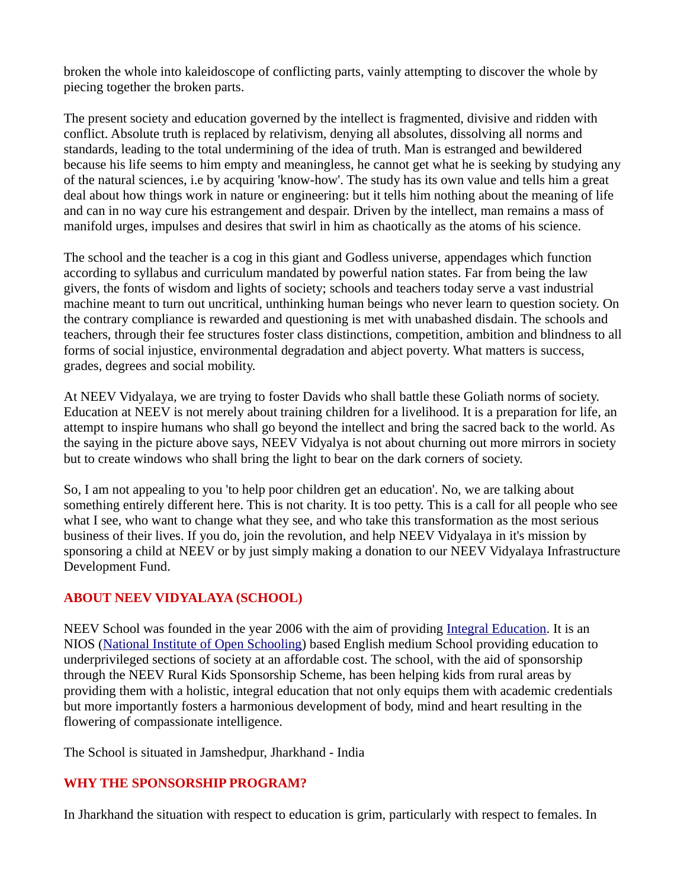broken the whole into kaleidoscope of conflicting parts, vainly attempting to discover the whole by piecing together the broken parts.

The present society and education governed by the intellect is fragmented, divisive and ridden with conflict. Absolute truth is replaced by relativism, denying all absolutes, dissolving all norms and standards, leading to the total undermining of the idea of truth. Man is estranged and bewildered because his life seems to him empty and meaningless, he cannot get what he is seeking by studying any of the natural sciences, i.e by acquiring 'know-how'. The study has its own value and tells him a great deal about how things work in nature or engineering: but it tells him nothing about the meaning of life and can in no way cure his estrangement and despair. Driven by the intellect, man remains a mass of manifold urges, impulses and desires that swirl in him as chaotically as the atoms of his science.

The school and the teacher is a cog in this giant and Godless universe, appendages which function according to syllabus and curriculum mandated by powerful nation states. Far from being the law givers, the fonts of wisdom and lights of society; schools and teachers today serve a vast industrial machine meant to turn out uncritical, unthinking human beings who never learn to question society. On the contrary compliance is rewarded and questioning is met with unabashed disdain. The schools and teachers, through their fee structures foster class distinctions, competition, ambition and blindness to all forms of social injustice, environmental degradation and abject poverty. What matters is success, grades, degrees and social mobility.

At NEEV Vidyalaya, we are trying to foster Davids who shall battle these Goliath norms of society. Education at NEEV is not merely about training children for a livelihood. It is a preparation for life, an attempt to inspire humans who shall go beyond the intellect and bring the sacred back to the world. As the saying in the picture above says, NEEV Vidyalya is not about churning out more mirrors in society but to create windows who shall bring the light to bear on the dark corners of society.

So, I am not appealing to you 'to help poor children get an education'. No, we are talking about something entirely different here. This is not charity. It is too petty. This is a call for all people who see what I see, who want to change what they see, and who take this transformation as the most serious business of their lives. If you do, join the revolution, and help NEEV Vidyalaya in it's mission by sponsoring a child at NEEV or by just simply making a donation to our NEEV Vidyalaya Infrastructure Development Fund.

## **ABOUT NEEV VIDYALAYA (SCHOOL)**

NEEV School was founded in the year 2006 with the aim of providing [Integral Education.](http://neevschool.weebly.com/curriculum.html) It is an NIOS [\(National Institute of Open Schooling\)](http://www.nios.ac.in/) based English medium School providing education to underprivileged sections of society at an affordable cost. The school, with the aid of sponsorship through the NEEV Rural Kids Sponsorship Scheme, has been helping kids from rural areas by providing them with a holistic, integral education that not only equips them with academic credentials but more importantly fosters a harmonious development of body, mind and heart resulting in the flowering of compassionate intelligence.

The School is situated in Jamshedpur, Jharkhand - India

## **WHY THE SPONSORSHIP PROGRAM?**

In Jharkhand the situation with respect to education is grim, particularly with respect to females. In